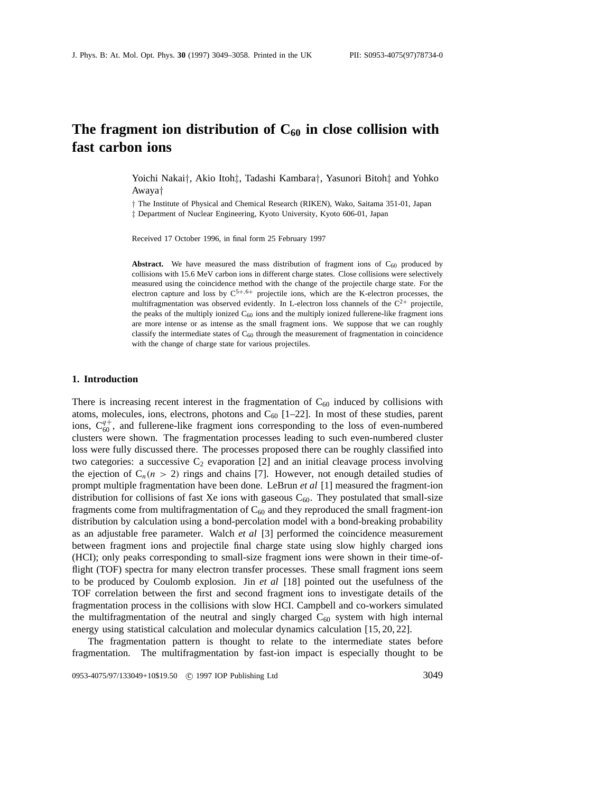# The fragment ion distribution of  $C_{60}$  in close collision with **fast carbon ions**

Yoichi Nakai*†*, Akio Itoh*‡*, Tadashi Kambara*†*, Yasunori Bitoh*‡* and Yohko Awaya*†*

*†* The Institute of Physical and Chemical Research (RIKEN), Wako, Saitama 351-01, Japan *‡* Department of Nuclear Engineering, Kyoto University, Kyoto 606-01, Japan

Received 17 October 1996, in final form 25 February 1997

**Abstract.** We have measured the mass distribution of fragment ions of  $C_{60}$  produced by collisions with 15.6 MeV carbon ions in different charge states. Close collisions were selectively measured using the coincidence method with the change of the projectile charge state. For the electron capture and loss by  $C^{5+,6+}$  projectile ions, which are the K-electron processes, the multifragmentation was observed evidently. In L-electron loss channels of the  $C^{2+}$  projectile, the peaks of the multiply ionized  $C_{60}$  ions and the multiply ionized fullerene-like fragment ions are more intense or as intense as the small fragment ions. We suppose that we can roughly classify the intermediate states of  $C_{60}$  through the measurement of fragmentation in coincidence with the change of charge state for various projectiles.

#### **1. Introduction**

There is increasing recent interest in the fragmentation of  $C_{60}$  induced by collisions with atoms, molecules, ions, electrons, photons and  $C_{60}$  [1–22]. In most of these studies, parent ions,  $C_{60}^{q+}$ , and fullerene-like fragment ions corresponding to the loss of even-numbered clusters were shown. The fragmentation processes leading to such even-numbered cluster loss were fully discussed there. The processes proposed there can be roughly classified into two categories: a successive  $C_2$  evaporation [2] and an initial cleavage process involving the ejection of  $C_n(n > 2)$  rings and chains [7]. However, not enough detailed studies of prompt multiple fragmentation have been done. LeBrun *et al* [1] measured the fragment-ion distribution for collisions of fast Xe ions with gaseous  $C_{60}$ . They postulated that small-size fragments come from multifragmentation of  $C_{60}$  and they reproduced the small fragment-ion distribution by calculation using a bond-percolation model with a bond-breaking probability as an adjustable free parameter. Walch *et al* [3] performed the coincidence measurement between fragment ions and projectile final charge state using slow highly charged ions (HCI); only peaks corresponding to small-size fragment ions were shown in their time-offlight (TOF) spectra for many electron transfer processes. These small fragment ions seem to be produced by Coulomb explosion. Jin *et al* [18] pointed out the usefulness of the TOF correlation between the first and second fragment ions to investigate details of the fragmentation process in the collisions with slow HCI. Campbell and co-workers simulated the multifragmentation of the neutral and singly charged  $C_{60}$  system with high internal energy using statistical calculation and molecular dynamics calculation [15, 20, 22].

The fragmentation pattern is thought to relate to the intermediate states before fragmentation. The multifragmentation by fast-ion impact is especially thought to be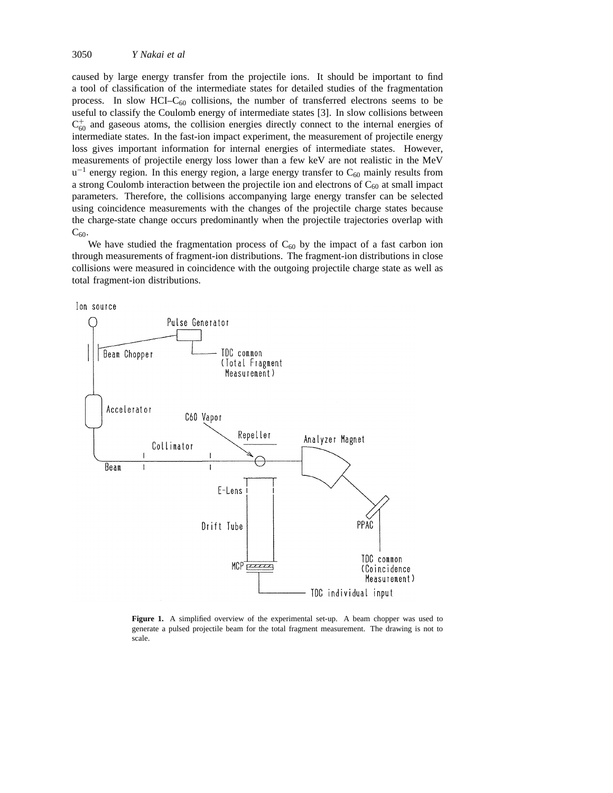caused by large energy transfer from the projectile ions. It should be important to find a tool of classification of the intermediate states for detailed studies of the fragmentation process. In slow HCI– $C_{60}$  collisions, the number of transferred electrons seems to be useful to classify the Coulomb energy of intermediate states [3]. In slow collisions between  $C_{60}^+$  and gaseous atoms, the collision energies directly connect to the internal energies of intermediate states. In the fast-ion impact experiment, the measurement of projectile energy loss gives important information for internal energies of intermediate states. However, measurements of projectile energy loss lower than a few keV are not realistic in the MeV  $u^{-1}$  energy region. In this energy region, a large energy transfer to  $C_{60}$  mainly results from a strong Coulomb interaction between the projectile ion and electrons of  $C_{60}$  at small impact parameters. Therefore, the collisions accompanying large energy transfer can be selected using coincidence measurements with the changes of the projectile charge states because the charge-state change occurs predominantly when the projectile trajectories overlap with  $C_{60}$ .

We have studied the fragmentation process of  $C_{60}$  by the impact of a fast carbon ion through measurements of fragment-ion distributions. The fragment-ion distributions in close collisions were measured in coincidence with the outgoing projectile charge state as well as total fragment-ion distributions.



**Figure 1.** A simplified overview of the experimental set-up. A beam chopper was used to generate a pulsed projectile beam for the total fragment measurement. The drawing is not to scale.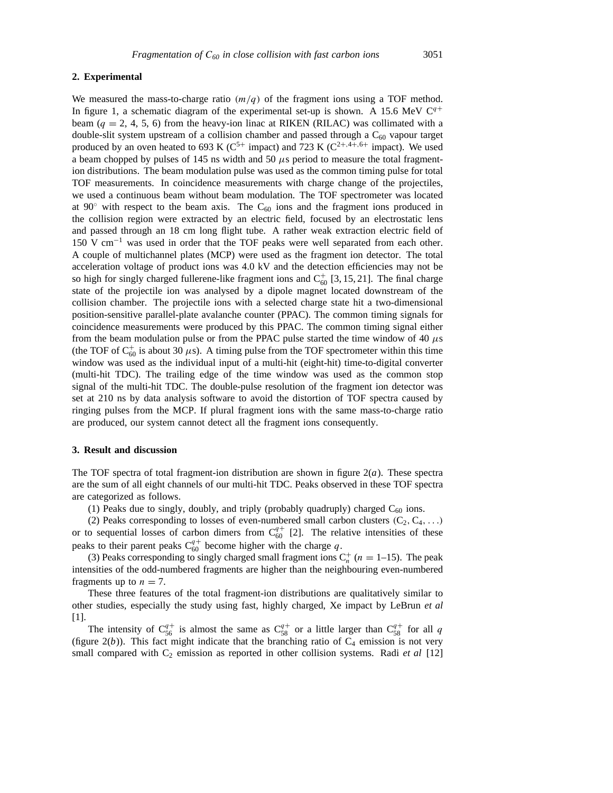## **2. Experimental**

We measured the mass-to-charge ratio  $(m/q)$  of the fragment ions using a TOF method. In figure 1, a schematic diagram of the experimental set-up is shown. A 15.6 MeV  $C^{q+}$ beam ( $q = 2, 4, 5, 6$ ) from the heavy-ion linac at RIKEN (RILAC) was collimated with a double-slit system upstream of a collision chamber and passed through a  $C_{60}$  vapour target produced by an oven heated to 693 K ( $C^{5+}$  impact) and 723 K ( $C^{2+,4+,6+}$  impact). We used a beam chopped by pulses of 145 ns width and 50  $\mu$ s period to measure the total fragmention distributions. The beam modulation pulse was used as the common timing pulse for total TOF measurements. In coincidence measurements with charge change of the projectiles, we used a continuous beam without beam modulation. The TOF spectrometer was located at  $90°$  with respect to the beam axis. The C<sub>60</sub> ions and the fragment ions produced in the collision region were extracted by an electric field, focused by an electrostatic lens and passed through an 18 cm long flight tube. A rather weak extraction electric field of 150 V cm−<sup>1</sup> was used in order that the TOF peaks were well separated from each other. A couple of multichannel plates (MCP) were used as the fragment ion detector. The total acceleration voltage of product ions was 4.0 kV and the detection efficiencies may not be so high for singly charged fullerene-like fragment ions and  $C_{60}^+$  [3, 15, 21]. The final charge state of the projectile ion was analysed by a dipole magnet located downstream of the collision chamber. The projectile ions with a selected charge state hit a two-dimensional position-sensitive parallel-plate avalanche counter (PPAC). The common timing signals for coincidence measurements were produced by this PPAC. The common timing signal either from the beam modulation pulse or from the PPAC pulse started the time window of 40  $\mu$ s (the TOF of  $C_{60}^+$  is about 30  $\mu$ s). A timing pulse from the TOF spectrometer within this time window was used as the individual input of a multi-hit (eight-hit) time-to-digital converter (multi-hit TDC). The trailing edge of the time window was used as the common stop signal of the multi-hit TDC. The double-pulse resolution of the fragment ion detector was set at 210 ns by data analysis software to avoid the distortion of TOF spectra caused by ringing pulses from the MCP. If plural fragment ions with the same mass-to-charge ratio are produced, our system cannot detect all the fragment ions consequently.

## **3. Result and discussion**

The TOF spectra of total fragment-ion distribution are shown in figure  $2(a)$ . These spectra are the sum of all eight channels of our multi-hit TDC. Peaks observed in these TOF spectra are categorized as follows.

(1) Peaks due to singly, doubly, and triply (probably quadruply) charged  $C_{60}$  ions.

(2) Peaks corresponding to losses of even-numbered small carbon clusters  $(C_2, C_4, \ldots)$ or to sequential losses of carbon dimers from  $C_{60}^{q+}$  [2]. The relative intensities of these peaks to their parent peaks  $C_{60}^{q+}$  become higher with the charge q.

(3) Peaks corresponding to singly charged small fragment ions  $C_n^+$  ( $n = 1-15$ ). The peak intensities of the odd-numbered fragments are higher than the neighbouring even-numbered fragments up to  $n = 7$ .

These three features of the total fragment-ion distributions are qualitatively similar to other studies, especially the study using fast, highly charged, Xe impact by LeBrun *et al* [1].

The intensity of  $C_{56}^{q+}$  is almost the same as  $C_{58}^{q+}$  or a little larger than  $C_{58}^{q+}$  for all q (figure  $2(b)$ ). This fact might indicate that the branching ratio of  $C_4$  emission is not very small compared with  $C_2$  emission as reported in other collision systems. Radi *et al* [12]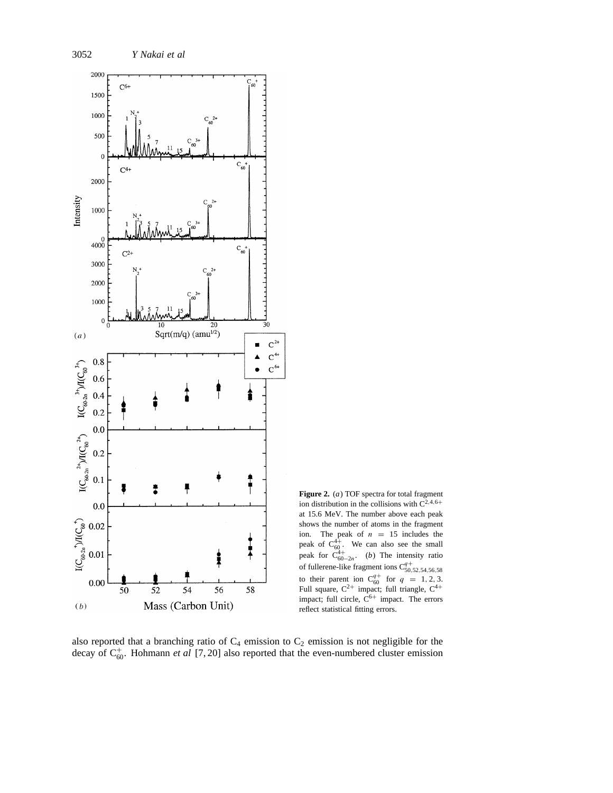

**Figure 2.** (*a*) TOF spectra for total fragment ion distribution in the collisions with  $C^{2,4,6+}$ at 15.6 MeV. The number above each peak shows the number of atoms in the fragment ion. The peak of  $n = 15$  includes the peak of  $C_{60}^{4+}$ . We can also see the small peak for  $C_{60-2n}^{4+}$ . (*b*) The intensity ratio of fullerene-like fragment ions  $C_{50,52,54,56,58}^{q+}$ <br>to their parent ion  $C_{60}^{q+}$  for  $q = 1, 2, 3$ .<br>Full square,  $C^{2+}$  impact; full triangle,  $C^{4+}$ impact; full circle,  $C^{6+}$  impact. The errors reflect statistical fitting errors.

also reported that a branching ratio of  $C_4$  emission to  $C_2$  emission is not negligible for the decay of  $C_{60}^+$ . Hohmann *et al* [7, 20] also reported that the even-numbered cluster emission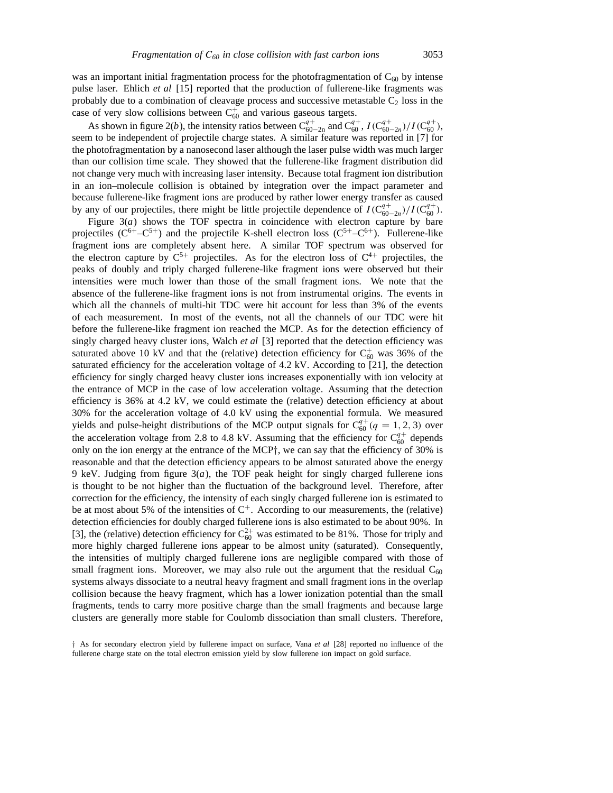was an important initial fragmentation process for the photofragmentation of  $C_{60}$  by intense pulse laser. Ehlich *et al* [15] reported that the production of fullerene-like fragments was probably due to a combination of cleavage process and successive metastable  $C_2$  loss in the case of very slow collisions between  $C_{60}^+$  and various gaseous targets.

As shown in figure 2(*b*), the intensity ratios between  $C_{60-2n}^{q+}$  and  $C_{60}^{q+}$ ,  $I(C_{60-2n}^{q+})/I(C_{60}^{q+})$ , seem to be independent of projectile charge states. A similar feature was reported in [7] for the photofragmentation by a nanosecond laser although the laser pulse width was much larger than our collision time scale. They showed that the fullerene-like fragment distribution did not change very much with increasing laser intensity. Because total fragment ion distribution in an ion–molecule collision is obtained by integration over the impact parameter and because fullerene-like fragment ions are produced by rather lower energy transfer as caused by any of our projectiles, there might be little projectile dependence of  $I(C_{60-2n}^{q+})/I(C_{60}^{q+})$ .

Figure  $3(a)$  shows the TOF spectra in coincidence with electron capture by bare projectiles  $(C^{6+} - C^{5+})$  and the projectile K-shell electron loss  $(C^{5+} - C^{6+})$ . Fullerene-like fragment ions are completely absent here. A similar TOF spectrum was observed for the electron capture by  $C^{5+}$  projectiles. As for the electron loss of  $C^{4+}$  projectiles, the peaks of doubly and triply charged fullerene-like fragment ions were observed but their intensities were much lower than those of the small fragment ions. We note that the absence of the fullerene-like fragment ions is not from instrumental origins. The events in which all the channels of multi-hit TDC were hit account for less than 3% of the events of each measurement. In most of the events, not all the channels of our TDC were hit before the fullerene-like fragment ion reached the MCP. As for the detection efficiency of singly charged heavy cluster ions, Walch *et al* [3] reported that the detection efficiency was saturated above 10 kV and that the (relative) detection efficiency for  $C_{60}^{+}$  was 36% of the saturated efficiency for the acceleration voltage of 4.2 kV. According to [21], the detection efficiency for singly charged heavy cluster ions increases exponentially with ion velocity at the entrance of MCP in the case of low acceleration voltage. Assuming that the detection efficiency is 36% at 4.2 kV, we could estimate the (relative) detection efficiency at about 30% for the acceleration voltage of 4.0 kV using the exponential formula. We measured yields and pulse-height distributions of the MCP output signals for  $C_{60}^{q+}(q = 1, 2, 3)$  over the acceleration voltage from 2.8 to 4.8 kV. Assuming that the efficiency for  $C_{60}^{q+}$  depends only on the ion energy at the entrance of the MCP*†*, we can say that the efficiency of 30% is reasonable and that the detection efficiency appears to be almost saturated above the energy 9 keV. Judging from figure  $3(a)$ , the TOF peak height for singly charged fullerene ions is thought to be not higher than the fluctuation of the background level. Therefore, after correction for the efficiency, the intensity of each singly charged fullerene ion is estimated to be at most about 5% of the intensities of  $C^+$ . According to our measurements, the (relative) detection efficiencies for doubly charged fullerene ions is also estimated to be about 90%. In [3], the (relative) detection efficiency for  $C_{60}^{2+}$  was estimated to be 81%. Those for triply and more highly charged fullerene ions appear to be almost unity (saturated). Consequently, the intensities of multiply charged fullerene ions are negligible compared with those of small fragment ions. Moreover, we may also rule out the argument that the residual  $C_{60}$ systems always dissociate to a neutral heavy fragment and small fragment ions in the overlap collision because the heavy fragment, which has a lower ionization potential than the small fragments, tends to carry more positive charge than the small fragments and because large clusters are generally more stable for Coulomb dissociation than small clusters. Therefore,

*<sup>†</sup>* As for secondary electron yield by fullerene impact on surface, Vana *et al* [28] reported no influence of the fullerene charge state on the total electron emission yield by slow fullerene ion impact on gold surface.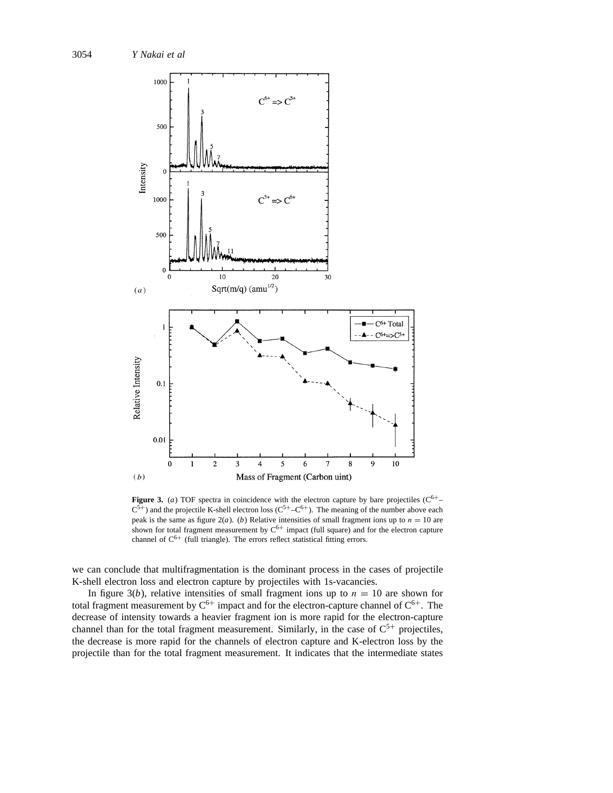

**Figure 3.** (*a*) TOF spectra in coincidence with the electron capture by bare projectiles  $(C^{6+} C^{5+}$ ) and the projectile K-shell electron loss ( $C^{5+}-C^{6+}$ ). The meaning of the number above each peak is the same as figure  $2(a)$ . (*b*) Relative intensities of small fragment ions up to  $n = 10$  are shown for total fragment measurement by  $C^{6+}$  impact (full square) and for the electron capture channel of  $C^{6+}$  (full triangle). The errors reflect statistical fitting errors.

we can conclude that multifragmentation is the dominant process in the cases of projectile K-shell electron loss and electron capture by projectiles with 1s-vacancies.

In figure 3(*b*), relative intensities of small fragment ions up to  $n = 10$  are shown for total fragment measurement by  $C^{6+}$  impact and for the electron-capture channel of  $C^{6+}$ . The decrease of intensity towards a heavier fragment ion is more rapid for the electron-capture channel than for the total fragment measurement. Similarly, in the case of  $C^{5+}$  projectiles, the decrease is more rapid for the channels of electron capture and K-electron loss by the projectile than for the total fragment measurement. It indicates that the intermediate states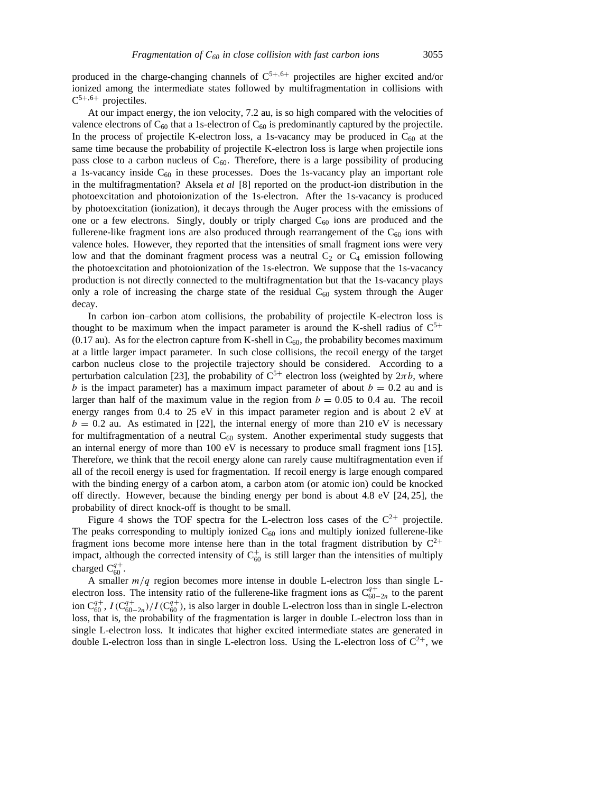produced in the charge-changing channels of C5+*,*6<sup>+</sup> projectiles are higher excited and/or ionized among the intermediate states followed by multifragmentation in collisions with C<sup>5</sup>+*,*6<sup>+</sup> projectiles.

At our impact energy, the ion velocity, 7.2 au, is so high compared with the velocities of valence electrons of  $C_{60}$  that a 1s-electron of  $C_{60}$  is predominantly captured by the projectile. In the process of projectile K-electron loss, a 1s-vacancy may be produced in  $C_{60}$  at the same time because the probability of projectile K-electron loss is large when projectile ions pass close to a carbon nucleus of  $C_{60}$ . Therefore, there is a large possibility of producing a 1s-vacancy inside  $C_{60}$  in these processes. Does the 1s-vacancy play an important role in the multifragmentation? Aksela *et al* [8] reported on the product-ion distribution in the photoexcitation and photoionization of the 1s-electron. After the 1s-vacancy is produced by photoexcitation (ionization), it decays through the Auger process with the emissions of one or a few electrons. Singly, doubly or triply charged  $C_{60}$  ions are produced and the fullerene-like fragment ions are also produced through rearrangement of the  $C_{60}$  ions with valence holes. However, they reported that the intensities of small fragment ions were very low and that the dominant fragment process was a neutral  $C_2$  or  $C_4$  emission following the photoexcitation and photoionization of the 1s-electron. We suppose that the 1s-vacancy production is not directly connected to the multifragmentation but that the 1s-vacancy plays only a role of increasing the charge state of the residual  $C_{60}$  system through the Auger decay.

In carbon ion–carbon atom collisions, the probability of projectile K-electron loss is thought to be maximum when the impact parameter is around the K-shell radius of  $C^{5+}$ (0.17 au). As for the electron capture from K-shell in  $C_{60}$ , the probability becomes maximum at a little larger impact parameter. In such close collisions, the recoil energy of the target carbon nucleus close to the projectile trajectory should be considered. According to a perturbation calculation [23], the probability of  $C^{5+}$  electron loss (weighted by  $2\pi b$ , where *b* is the impact parameter) has a maximum impact parameter of about  $b = 0.2$  au and is larger than half of the maximum value in the region from  $b = 0.05$  to 0.4 au. The recoil energy ranges from 0.4 to 25 eV in this impact parameter region and is about 2 eV at  $b = 0.2$  au. As estimated in [22], the internal energy of more than 210 eV is necessary for multifragmentation of a neutral  $C_{60}$  system. Another experimental study suggests that an internal energy of more than 100 eV is necessary to produce small fragment ions [15]. Therefore, we think that the recoil energy alone can rarely cause multifragmentation even if all of the recoil energy is used for fragmentation. If recoil energy is large enough compared with the binding energy of a carbon atom, a carbon atom (or atomic ion) could be knocked off directly. However, because the binding energy per bond is about 4.8 eV [24, 25], the probability of direct knock-off is thought to be small.

Figure 4 shows the TOF spectra for the L-electron loss cases of the  $C^{2+}$  projectile. The peaks corresponding to multiply ionized  $C_{60}$  ions and multiply ionized fullerene-like fragment ions become more intense here than in the total fragment distribution by  $C^{2+}$ impact, although the corrected intensity of  $C_{60}^+$  is still larger than the intensities of multiply charged  $C_{60}^{q+}$ .

A smaller *m/q* region becomes more intense in double L-electron loss than single Lelectron loss. The intensity ratio of the fullerene-like fragment ions as  $C_{60-2n}^{q+}$  to the parent ion  $C_{60}^{q+}$ ,  $I(C_{60-2n}^{q+})/I(C_{60}^{q+})$ , is also larger in double L-electron loss than in single L-electron loss, that is, the probability of the fragmentation is larger in double L-electron loss than in single L-electron loss. It indicates that higher excited intermediate states are generated in double L-electron loss than in single L-electron loss. Using the L-electron loss of  $C^{2+}$ , we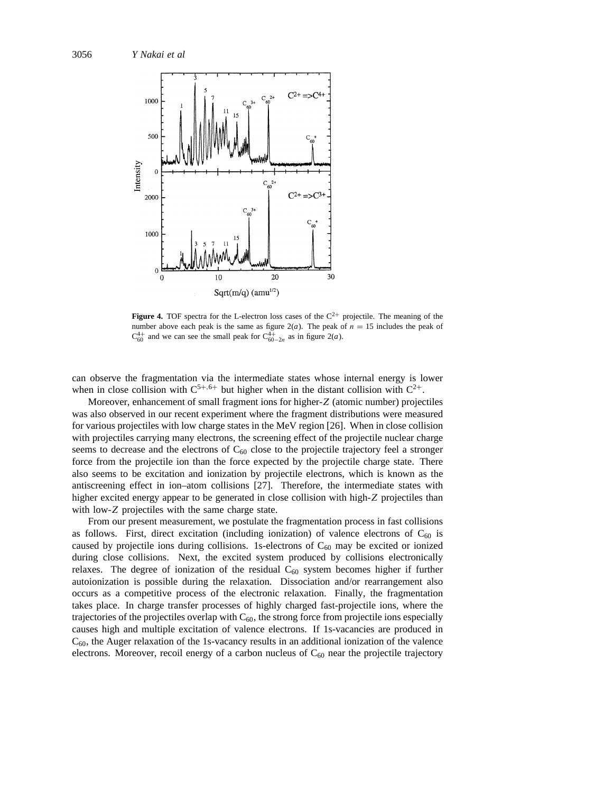

**Figure 4.** TOF spectra for the L-electron loss cases of the  $C^{2+}$  projectile. The meaning of the number above each peak is the same as figure  $2(a)$ . The peak of  $n = 15$  includes the peak of  $C_{60}^{4+}$  and we can see the small peak for  $C_{60-2n}^{4+}$  as in figure 2(*a*).

can observe the fragmentation via the intermediate states whose internal energy is lower when in close collision with  $C^{5+,6+}$  but higher when in the distant collision with  $C^{2+}$ .

Moreover, enhancement of small fragment ions for higher-*Z* (atomic number) projectiles was also observed in our recent experiment where the fragment distributions were measured for various projectiles with low charge states in the MeV region [26]. When in close collision with projectiles carrying many electrons, the screening effect of the projectile nuclear charge seems to decrease and the electrons of  $C_{60}$  close to the projectile trajectory feel a stronger force from the projectile ion than the force expected by the projectile charge state. There also seems to be excitation and ionization by projectile electrons, which is known as the antiscreening effect in ion–atom collisions [27]. Therefore, the intermediate states with higher excited energy appear to be generated in close collision with high-*Z* projectiles than with low-*Z* projectiles with the same charge state.

From our present measurement, we postulate the fragmentation process in fast collisions as follows. First, direct excitation (including ionization) of valence electrons of  $C_{60}$  is caused by projectile ions during collisions. 1s-electrons of  $C_{60}$  may be excited or ionized during close collisions. Next, the excited system produced by collisions electronically relaxes. The degree of ionization of the residual  $C_{60}$  system becomes higher if further autoionization is possible during the relaxation. Dissociation and/or rearrangement also occurs as a competitive process of the electronic relaxation. Finally, the fragmentation takes place. In charge transfer processes of highly charged fast-projectile ions, where the trajectories of the projectiles overlap with  $C_{60}$ , the strong force from projectile ions especially causes high and multiple excitation of valence electrons. If 1s-vacancies are produced in  $C_{60}$ , the Auger relaxation of the 1s-vacancy results in an additional ionization of the valence electrons. Moreover, recoil energy of a carbon nucleus of  $C_{60}$  near the projectile trajectory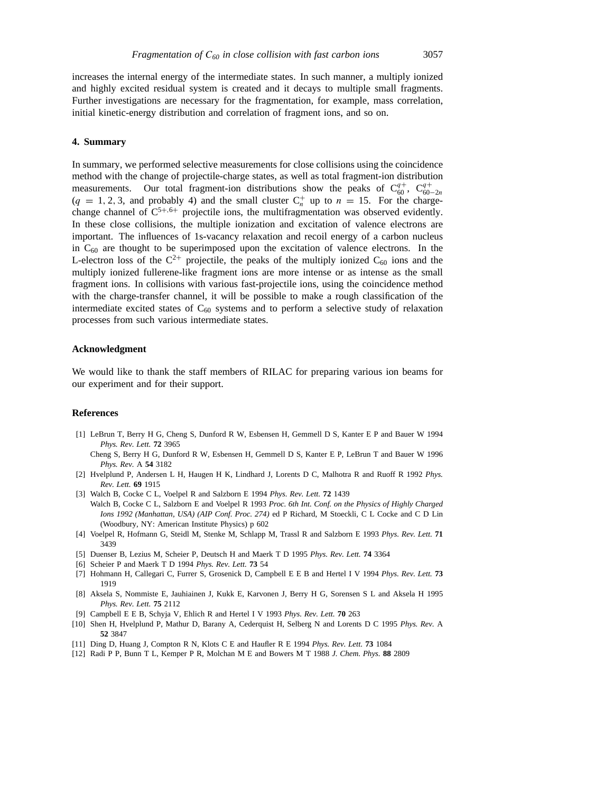increases the internal energy of the intermediate states. In such manner, a multiply ionized and highly excited residual system is created and it decays to multiple small fragments. Further investigations are necessary for the fragmentation, for example, mass correlation, initial kinetic-energy distribution and correlation of fragment ions, and so on.

## **4. Summary**

In summary, we performed selective measurements for close collisions using the coincidence method with the change of projectile-charge states, as well as total fragment-ion distribution measurements. Our total fragment-ion distributions show the peaks of  $C_{60}^{q+}$ ,  $C_{60-2n}^{q+}$  $(q = 1, 2, 3, \text{ and probably } 4)$  and the small cluster  $C_n^+$  up to  $n = 15$ . For the chargechange channel of C5+*,*6<sup>+</sup> projectile ions, the multifragmentation was observed evidently. In these close collisions, the multiple ionization and excitation of valence electrons are important. The influences of 1s-vacancy relaxation and recoil energy of a carbon nucleus in  $C_{60}$  are thought to be superimposed upon the excitation of valence electrons. In the L-electron loss of the  $C^{2+}$  projectile, the peaks of the multiply ionized  $C_{60}$  ions and the multiply ionized fullerene-like fragment ions are more intense or as intense as the small fragment ions. In collisions with various fast-projectile ions, using the coincidence method with the charge-transfer channel, it will be possible to make a rough classification of the intermediate excited states of  $C_{60}$  systems and to perform a selective study of relaxation processes from such various intermediate states.

#### **Acknowledgment**

We would like to thank the staff members of RILAC for preparing various ion beams for our experiment and for their support.

## **References**

[1] LeBrun T, Berry H G, Cheng S, Dunford R W, Esbensen H, Gemmell D S, Kanter E P and Bauer W 1994 *Phys. Rev. Lett.* **72** 3965

Cheng S, Berry H G, Dunford R W, Esbensen H, Gemmell D S, Kanter E P, LeBrun T and Bauer W 1996 *Phys. Rev.* A **54** 3182

- [2] Hvelplund P, Andersen L H, Haugen H K, Lindhard J, Lorents D C, Malhotra R and Ruoff R 1992 *Phys. Rev. Lett.* **69** 1915
- [3] Walch B, Cocke C L, Voelpel R and Salzborn E 1994 *Phys. Rev. Lett.* **72** 1439 Walch B, Cocke C L, Salzborn E and Voelpel R 1993 *Proc. 6th Int. Conf. on the Physics of Highly Charged Ions 1992 (Manhattan, USA) (AIP Conf. Proc. 274)* ed P Richard, M Stoeckli, C L Cocke and C D Lin (Woodbury, NY: American Institute Physics) p 602
- [4] Voelpel R, Hofmann G, Steidl M, Stenke M, Schlapp M, Trassl R and Salzborn E 1993 *Phys. Rev. Lett.* **71** 3439
- [5] Duenser B, Lezius M, Scheier P, Deutsch H and Maerk T D 1995 *Phys. Rev. Lett.* **74** 3364
- [6] Scheier P and Maerk T D 1994 *Phys. Rev. Lett.* **73** 54
- [7] Hohmann H, Callegari C, Furrer S, Grosenick D, Campbell E E B and Hertel I V 1994 *Phys. Rev. Lett.* **73** 1919
- [8] Aksela S, Nommiste E, Jauhiainen J, Kukk E, Karvonen J, Berry H G, Sorensen S L and Aksela H 1995 *Phys. Rev. Lett.* **75** 2112
- [9] Campbell E E B, Schyja V, Ehlich R and Hertel I V 1993 *Phys. Rev. Lett.* **70** 263
- [10] Shen H, Hvelplund P, Mathur D, Barany A, Cederquist H, Selberg N and Lorents D C 1995 *Phys. Rev.* A **52** 3847
- [11] Ding D, Huang J, Compton R N, Klots C E and Haufler R E 1994 *Phys. Rev. Lett.* **73** 1084
- [12] Radi P P, Bunn T L, Kemper P R, Molchan M E and Bowers M T 1988 *J. Chem. Phys.* **88** 2809